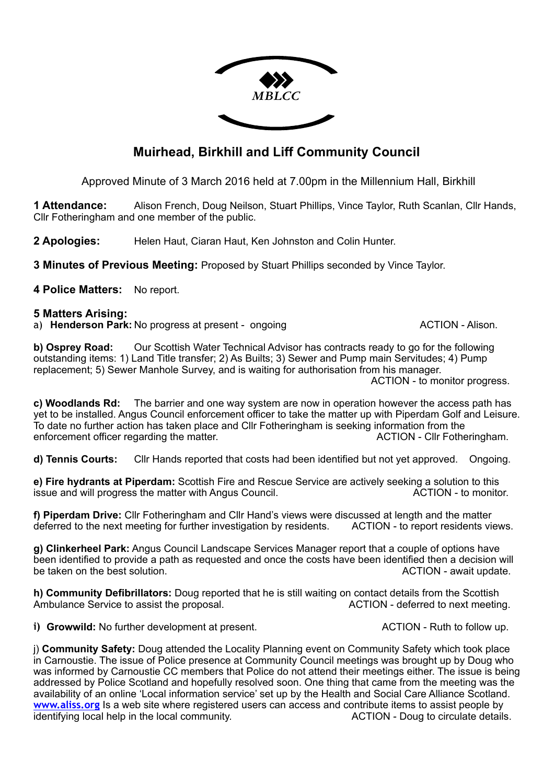

## **Muirhead, Birkhill and Liff Community Council**

Approved Minute of 3 March 2016 held at 7.00pm in the Millennium Hall, Birkhill

**1 Attendance:** Alison French, Doug Neilson, Stuart Phillips, Vince Taylor, Ruth Scanlan, Cllr Hands, Cllr Fotheringham and one member of the public.

**2 Apologies:** Helen Haut, Ciaran Haut, Ken Johnston and Colin Hunter.

**3 Minutes of Previous Meeting:** Proposed by Stuart Phillips seconded by Vince Taylor.

**4 Police Matters:** No report.

## **5 Matters Arising:**

a) **Henderson Park:** No progress at present - ongoing and action and action - Alison.

**b) Osprey Road:** Our Scottish Water Technical Advisor has contracts ready to go for the following outstanding items: 1) Land Title transfer; 2) As Builts; 3) Sewer and Pump main Servitudes; 4) Pump replacement; 5) Sewer Manhole Survey, and is waiting for authorisation from his manager. ACTION - to monitor progress.

**c) Woodlands Rd:** The barrier and one way system are now in operation however the access path has yet to be installed. Angus Council enforcement officer to take the matter up with Piperdam Golf and Leisure. To date no further action has taken place and Cllr Fotheringham is seeking information from the enforcement officer regarding the matter. ACTION - Cllr Fotheringham.

**d) Tennis Courts:** Cllr Hands reported that costs had been identified but not yet approved. Ongoing.

**e) Fire hydrants at Piperdam:** Scottish Fire and Rescue Service are actively seeking a solution to this issue and will progress the matter with Angus Council. ACTION - to monitor.

**f) Piperdam Drive:** Cllr Fotheringham and Cllr Hand's views were discussed at length and the matter deferred to the next meeting for further investigation by residents. ACTION - to report residents views.

**g) Clinkerheel Park:** Angus Council Landscape Services Manager report that a couple of options have been identified to provide a path as requested and once the costs have been identified then a decision will be taken on the best solution. According to the taken on the best solution.

**h) Community Defibrillators:** Doug reported that he is still waiting on contact details from the Scottish Ambulance Service to assist the proposal. ACTION - deferred to next meeting.

**i) Growwild:** No further development at present. ACTION - Ruth to follow up.

j) **Community Safety:** Doug attended the Locality Planning event on Community Safety which took place in Carnoustie. The issue of Police presence at Community Council meetings was brought up by Doug who was informed by Carnoustie CC members that Police do not attend their meetings either. The issue is being addressed by Police Scotland and hopefully resolved soon. One thing that came from the meeting was the availability of an online 'Local information service' set up by the Health and Social Care Alliance Scotland. **[www.aliss.org](http://www.aliss.org)** Is a web site where registered users can access and contribute items to assist people by identifying local help in the local community. The same state of a ACTION - Doug to circulate details.